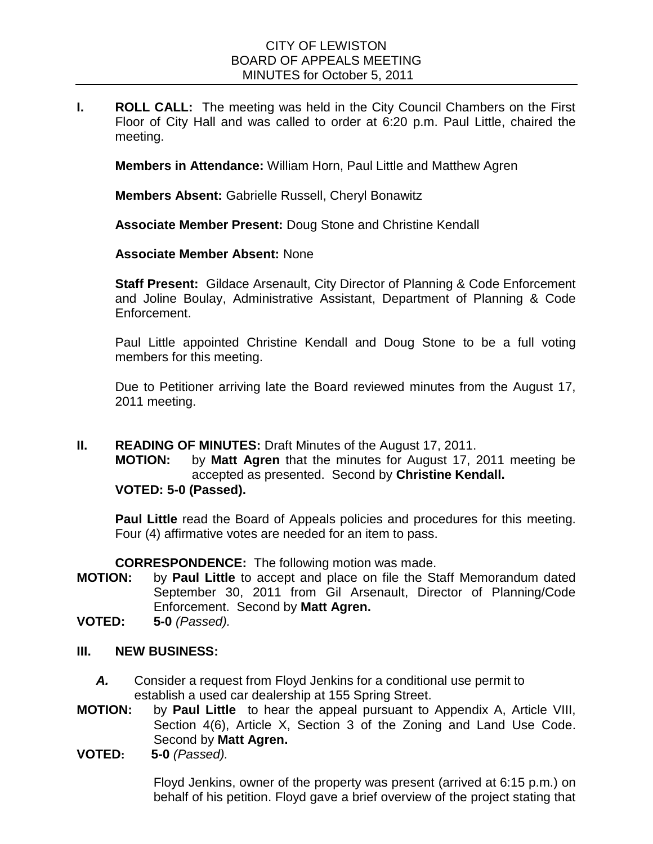**I. ROLL CALL:** The meeting was held in the City Council Chambers on the First Floor of City Hall and was called to order at 6:20 p.m. Paul Little, chaired the meeting.

**Members in Attendance:** William Horn, Paul Little and Matthew Agren

**Members Absent:** Gabrielle Russell, Cheryl Bonawitz

**Associate Member Present:** Doug Stone and Christine Kendall

**Associate Member Absent:** None

**Staff Present:** Gildace Arsenault, City Director of Planning & Code Enforcement and Joline Boulay, Administrative Assistant, Department of Planning & Code Enforcement.

Paul Little appointed Christine Kendall and Doug Stone to be a full voting members for this meeting.

Due to Petitioner arriving late the Board reviewed minutes from the August 17, 2011 meeting.

## **II. READING OF MINUTES:** Draft Minutes of the August 17, 2011.

**MOTION:** by **Matt Agren** that the minutes for August 17, 2011 meeting be accepted as presented. Second by **Christine Kendall.**

**VOTED: 5-0 (Passed).**

**Paul Little** read the Board of Appeals policies and procedures for this meeting. Four (4) affirmative votes are needed for an item to pass.

**CORRESPONDENCE:** The following motion was made.

- **MOTION:** by **Paul Little** to accept and place on file the Staff Memorandum dated September 30, 2011 from Gil Arsenault, Director of Planning/Code Enforcement. Second by **Matt Agren.**
- **VOTED: 5-0** *(Passed).*

## **III. NEW BUSINESS:**

- *A.* Consider a request from Floyd Jenkins for a conditional use permit to establish a used car dealership at 155 Spring Street.
- **MOTION:** by **Paul Little** to hear the appeal pursuant to Appendix A, Article VIII, Section 4(6), Article X, Section 3 of the Zoning and Land Use Code. Second by **Matt Agren.**
- **VOTED: 5-0** *(Passed).*

 Floyd Jenkins, owner of the property was present (arrived at 6:15 p.m.) on behalf of his petition. Floyd gave a brief overview of the project stating that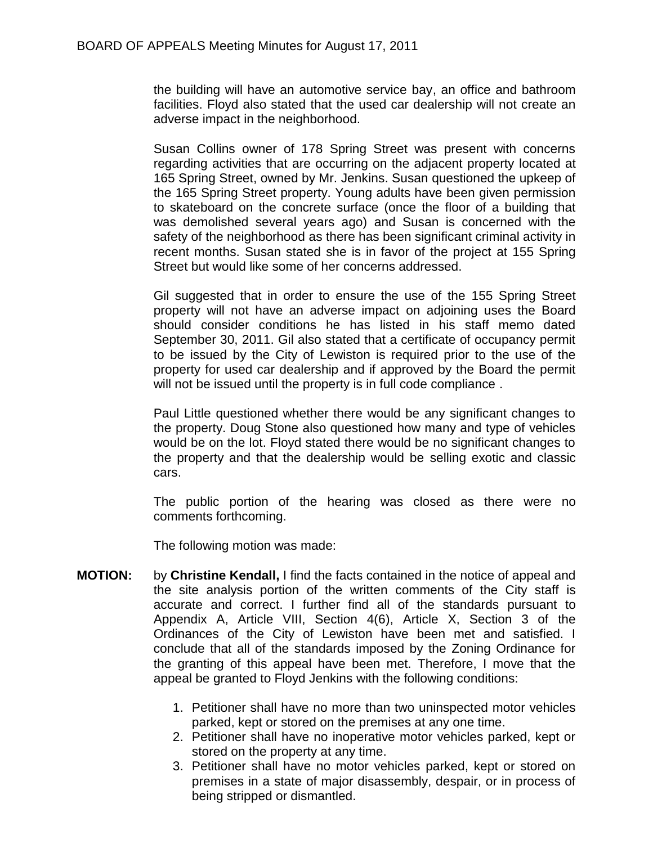the building will have an automotive service bay, an office and bathroom facilities. Floyd also stated that the used car dealership will not create an adverse impact in the neighborhood.

Susan Collins owner of 178 Spring Street was present with concerns regarding activities that are occurring on the adjacent property located at 165 Spring Street, owned by Mr. Jenkins. Susan questioned the upkeep of the 165 Spring Street property. Young adults have been given permission to skateboard on the concrete surface (once the floor of a building that was demolished several years ago) and Susan is concerned with the safety of the neighborhood as there has been significant criminal activity in recent months. Susan stated she is in favor of the project at 155 Spring Street but would like some of her concerns addressed.

Gil suggested that in order to ensure the use of the 155 Spring Street property will not have an adverse impact on adjoining uses the Board should consider conditions he has listed in his staff memo dated September 30, 2011. Gil also stated that a certificate of occupancy permit to be issued by the City of Lewiston is required prior to the use of the property for used car dealership and if approved by the Board the permit will not be issued until the property is in full code compliance .

Paul Little questioned whether there would be any significant changes to the property. Doug Stone also questioned how many and type of vehicles would be on the lot. Floyd stated there would be no significant changes to the property and that the dealership would be selling exotic and classic cars.

The public portion of the hearing was closed as there were no comments forthcoming.

The following motion was made:

- **MOTION:** by **Christine Kendall,** I find the facts contained in the notice of appeal and the site analysis portion of the written comments of the City staff is accurate and correct. I further find all of the standards pursuant to Appendix A, Article VIII, Section 4(6), Article X, Section 3 of the Ordinances of the City of Lewiston have been met and satisfied. I conclude that all of the standards imposed by the Zoning Ordinance for the granting of this appeal have been met. Therefore, I move that the appeal be granted to Floyd Jenkins with the following conditions:
	- 1. Petitioner shall have no more than two uninspected motor vehicles parked, kept or stored on the premises at any one time.
	- 2. Petitioner shall have no inoperative motor vehicles parked, kept or stored on the property at any time.
	- 3. Petitioner shall have no motor vehicles parked, kept or stored on premises in a state of major disassembly, despair, or in process of being stripped or dismantled.